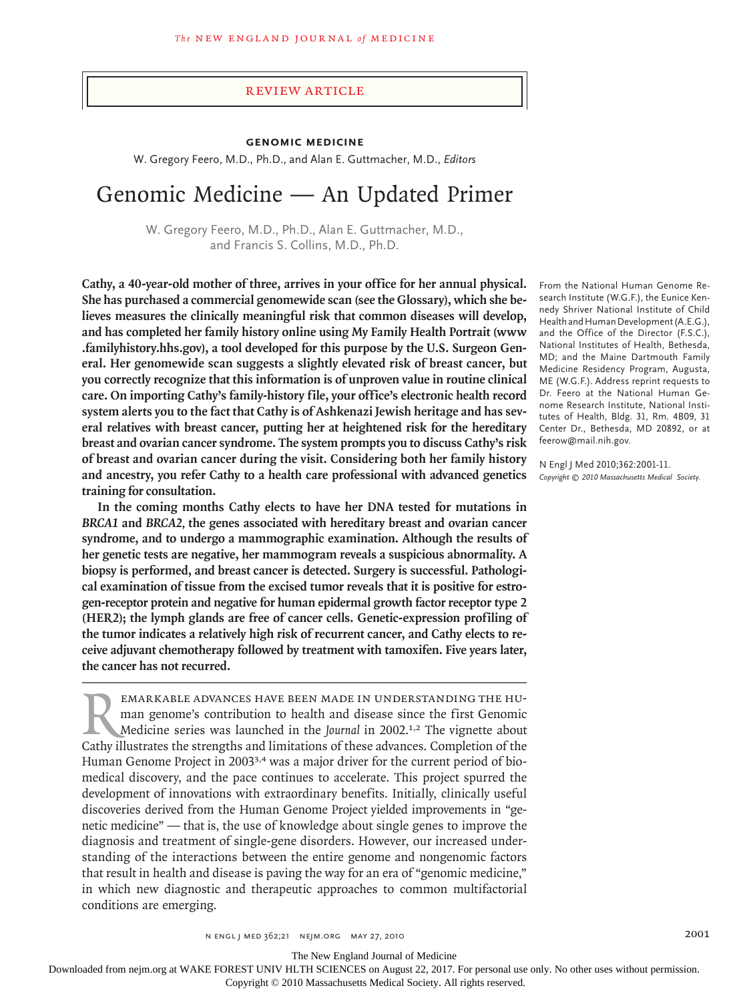## review article

**Genomic Medicine**

W. Gregory Feero, M.D., Ph.D., and Alan E. Guttmacher, M.D., *Editors*

# Genomic Medicine — An Updated Primer

W. Gregory Feero, M.D., Ph.D., Alan E. Guttmacher, M.D., and Francis S. Collins, M.D., Ph.D.

**Cathy, a 40-year-old mother of three, arrives in your office for her annual physical. She has purchased a commercial genomewide scan (see the Glossary), which she believes measures the clinically meaningful risk that common diseases will develop, and has completed her family history online using My Family Health Portrait (www .familyhistory.hhs.gov), a tool developed for this purpose by the U.S. Surgeon General. Her genomewide scan suggests a slightly elevated risk of breast cancer, but you correctly recognize that this information is of unproven value in routine clinical care. On importing Cathy's family-history file, your office's electronic health record system alerts you to the fact that Cathy is of Ashkenazi Jewish heritage and has several relatives with breast cancer, putting her at heightened risk for the hereditary breast and ovarian cancer syndrome. The system prompts you to discuss Cathy's risk of breast and ovarian cancer during the visit. Considering both her family history and ancestry, you refer Cathy to a health care professional with advanced genetics training for consultation.**

**In the coming months Cathy elects to have her DNA tested for mutations in**  *BRCA1* **and** *BRCA2,* **the genes associated with hereditary breast and ovarian cancer syndrome, and to undergo a mammographic examination. Although the results of her genetic tests are negative, her mammogram reveals a suspicious abnormality. A biopsy is performed, and breast cancer is detected. Surgery is successful. Pathological examination of tissue from the excised tumor reveals that it is positive for estrogen-receptor protein and negative for human epidermal growth factor receptor type 2 (HER2); the lymph glands are free of cancer cells. Genetic-expression profiling of the tumor indicates a relatively high risk of recurrent cancer, and Cathy elects to receive adjuvant chemotherapy followed by treatment with tamoxifen. Five years later, the cancer has not recurred.**

EMARKABLE ADVANCES HAVE BEEN MADE IN UNDERSTANDING THE HU-<br>man genome's contribution to health and disease since the first Genomic<br>Medicine series was launched in the Journal in 2002.<sup>1,2</sup> The vignette about<br>Cathy illustra man genome's contribution to health and disease since the first Genomic Medicine series was launched in the *Journal* in 2002.1,2 The vignette about Cathy illustrates the strengths and limitations of these advances. Completion of the Human Genome Project in 2003<sup>3,4</sup> was a major driver for the current period of biomedical discovery, and the pace continues to accelerate. This project spurred the development of innovations with extraordinary benefits. Initially, clinically useful discoveries derived from the Human Genome Project yielded improvements in "genetic medicine" — that is, the use of knowledge about single genes to improve the diagnosis and treatment of single-gene disorders. However, our increased understanding of the interactions between the entire genome and nongenomic factors that result in health and disease is paving the way for an era of "genomic medicine," in which new diagnostic and therapeutic approaches to common multifactorial conditions are emerging.

From the National Human Genome Research Institute (W.G.F.), the Eunice Kennedy Shriver National Institute of Child Health and Human Development (A.E.G.), and the Office of the Director (F.S.C.), National Institutes of Health, Bethesda, MD; and the Maine Dartmouth Family Medicine Residency Program, Augusta, ME (W.G.F.). Address reprint requests to Dr. Feero at the National Human Genome Research Institute, National Institutes of Health, Bldg. 31, Rm. 4B09, 31 Center Dr., Bethesda, MD 20892, or at feerow@mail.nih.gov.

N Engl J Med 2010;362:2001-11. *Copyright © 2010 Massachusetts Medical Society.*

The New England Journal of Medicine

Downloaded from nejm.org at WAKE FOREST UNIV HLTH SCIENCES on August 22, 2017. For personal use only. No other uses without permission.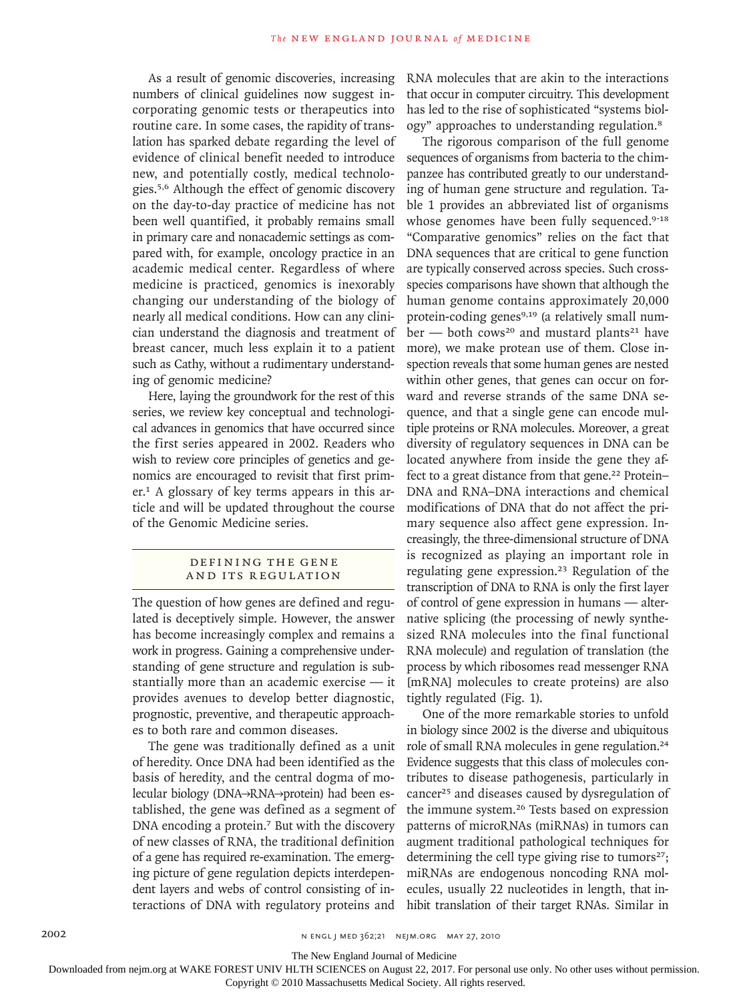As a result of genomic discoveries, increasing numbers of clinical guidelines now suggest incorporating genomic tests or therapeutics into routine care. In some cases, the rapidity of translation has sparked debate regarding the level of evidence of clinical benefit needed to introduce new, and potentially costly, medical technologies.5,6 Although the effect of genomic discovery on the day-to-day practice of medicine has not been well quantified, it probably remains small in primary care and nonacademic settings as compared with, for example, oncology practice in an academic medical center. Regardless of where medicine is practiced, genomics is inexorably changing our understanding of the biology of nearly all medical conditions. How can any clinician understand the diagnosis and treatment of breast cancer, much less explain it to a patient such as Cathy, without a rudimentary understanding of genomic medicine?

Here, laying the groundwork for the rest of this series, we review key conceptual and technological advances in genomics that have occurred since the first series appeared in 2002. Readers who wish to review core principles of genetics and genomics are encouraged to revisit that first primer.1 A glossary of key terms appears in this article and will be updated throughout the course of the Genomic Medicine series.

# DEFINING THE GENE and Its Regulation

The question of how genes are defined and regulated is deceptively simple. However, the answer has become increasingly complex and remains a work in progress. Gaining a comprehensive understanding of gene structure and regulation is substantially more than an academic exercise — it provides avenues to develop better diagnostic, prognostic, preventive, and therapeutic approaches to both rare and common diseases.

The gene was traditionally defined as a unit of heredity. Once DNA had been identified as the basis of heredity, and the central dogma of molecular biology (DNA→RNA→protein) had been established, the gene was defined as a segment of DNA encoding a protein.7 But with the discovery of new classes of RNA, the traditional definition of a gene has required re-examination. The emerging picture of gene regulation depicts interdependent layers and webs of control consisting of interactions of DNA with regulatory proteins and

RNA molecules that are akin to the interactions that occur in computer circuitry. This development has led to the rise of sophisticated "systems biology" approaches to understanding regulation.<sup>8</sup>

The rigorous comparison of the full genome sequences of organisms from bacteria to the chimpanzee has contributed greatly to our understanding of human gene structure and regulation. Table 1 provides an abbreviated list of organisms whose genomes have been fully sequenced.<sup>9-18</sup> "Comparative genomics" relies on the fact that DNA sequences that are critical to gene function are typically conserved across species. Such crossspecies comparisons have shown that although the human genome contains approximately 20,000 protein-coding genes<sup>9,19</sup> (a relatively small num $ber$  — both cows<sup>20</sup> and mustard plants<sup>21</sup> have more), we make protean use of them. Close inspection reveals that some human genes are nested within other genes, that genes can occur on forward and reverse strands of the same DNA sequence, and that a single gene can encode multiple proteins or RNA molecules. Moreover, a great diversity of regulatory sequences in DNA can be located anywhere from inside the gene they affect to a great distance from that gene.<sup>22</sup> Protein– DNA and RNA–DNA interactions and chemical modifications of DNA that do not affect the primary sequence also affect gene expression. Increasingly, the three-dimensional structure of DNA is recognized as playing an important role in regulating gene expression.23 Regulation of the transcription of DNA to RNA is only the first layer of control of gene expression in humans — alternative splicing (the processing of newly synthesized RNA molecules into the final functional RNA molecule) and regulation of translation (the process by which ribosomes read messenger RNA [mRNA] molecules to create proteins) are also tightly regulated (Fig. 1).

One of the more remarkable stories to unfold in biology since 2002 is the diverse and ubiquitous role of small RNA molecules in gene regulation.<sup>24</sup> Evidence suggests that this class of molecules contributes to disease pathogenesis, particularly in cancer<sup>25</sup> and diseases caused by dysregulation of the immune system.26 Tests based on expression patterns of microRNAs (miRNAs) in tumors can augment traditional pathological techniques for determining the cell type giving rise to tumors $27$ ; miRNAs are endogenous noncoding RNA molecules, usually 22 nucleotides in length, that inhibit translation of their target RNAs. Similar in

2002 **n engl j med 362;21 nejm.org may 27, 2010** 

The New England Journal of Medicine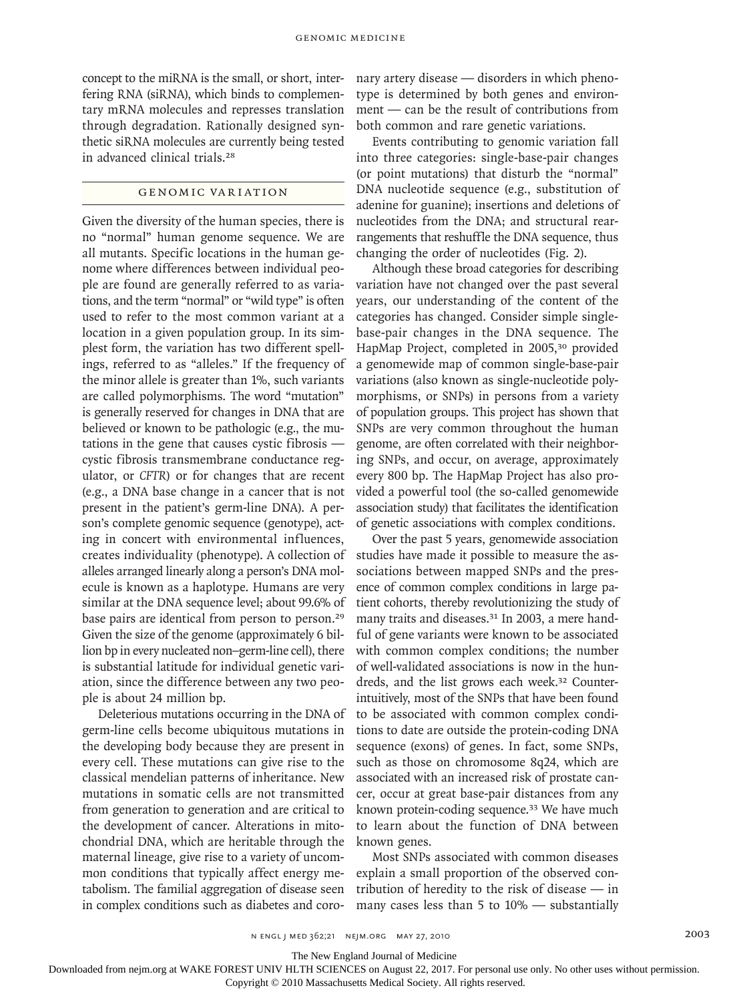concept to the miRNA is the small, or short, interfering RNA (siRNA), which binds to complementary mRNA molecules and represses translation through degradation. Rationally designed synthetic siRNA molecules are currently being tested in advanced clinical trials.<sup>28</sup>

# Genomic Variation

Given the diversity of the human species, there is no "normal" human genome sequence. We are all mutants. Specific locations in the human genome where differences between individual people are found are generally referred to as variations, and the term "normal" or "wild type" is often used to refer to the most common variant at a location in a given population group. In its simplest form, the variation has two different spellings, referred to as "alleles." If the frequency of the minor allele is greater than 1%, such variants are called polymorphisms. The word "mutation" is generally reserved for changes in DNA that are believed or known to be pathologic (e.g., the mutations in the gene that causes cystic fibrosis cystic fibrosis transmembrane conductance regulator, or *CFTR*) or for changes that are recent (e.g., a DNA base change in a cancer that is not present in the patient's germ-line DNA). A person's complete genomic sequence (genotype), acting in concert with environmental influences, creates individuality (phenotype). A collection of alleles arranged linearly along a person's DNA molecule is known as a haplotype. Humans are very similar at the DNA sequence level; about 99.6% of base pairs are identical from person to person.<sup>29</sup> Given the size of the genome (approximately 6 billion bp in every nucleated non–germ-line cell), there is substantial latitude for individual genetic variation, since the difference between any two people is about 24 million bp.

Deleterious mutations occurring in the DNA of germ-line cells become ubiquitous mutations in the developing body because they are present in every cell. These mutations can give rise to the classical mendelian patterns of inheritance. New mutations in somatic cells are not transmitted from generation to generation and are critical to the development of cancer. Alterations in mitochondrial DNA, which are heritable through the maternal lineage, give rise to a variety of uncommon conditions that typically affect energy metabolism. The familial aggregation of disease seen in complex conditions such as diabetes and coronary artery disease — disorders in which phenotype is determined by both genes and environment — can be the result of contributions from both common and rare genetic variations.

Events contributing to genomic variation fall into three categories: single-base-pair changes (or point mutations) that disturb the "normal" DNA nucleotide sequence (e.g., substitution of adenine for guanine); insertions and deletions of nucleotides from the DNA; and structural rearrangements that reshuffle the DNA sequence, thus changing the order of nucleotides (Fig. 2).

Although these broad categories for describing variation have not changed over the past several years, our understanding of the content of the categories has changed. Consider simple singlebase-pair changes in the DNA sequence. The HapMap Project, completed in 2005,<sup>30</sup> provided a genomewide map of common single-base-pair variations (also known as single-nucleotide polymorphisms, or SNPs) in persons from a variety of population groups. This project has shown that SNPs are very common throughout the human genome, are often correlated with their neighboring SNPs, and occur, on average, approximately every 800 bp. The HapMap Project has also provided a powerful tool (the so-called genomewide association study) that facilitates the identification of genetic associations with complex conditions.

Over the past 5 years, genomewide association studies have made it possible to measure the associations between mapped SNPs and the presence of common complex conditions in large patient cohorts, thereby revolutionizing the study of many traits and diseases.<sup>31</sup> In 2003, a mere handful of gene variants were known to be associated with common complex conditions; the number of well-validated associations is now in the hundreds, and the list grows each week.<sup>32</sup> Counterintuitively, most of the SNPs that have been found to be associated with common complex conditions to date are outside the protein-coding DNA sequence (exons) of genes. In fact, some SNPs, such as those on chromosome 8q24, which are associated with an increased risk of prostate cancer, occur at great base-pair distances from any known protein-coding sequence.<sup>33</sup> We have much to learn about the function of DNA between known genes.

Most SNPs associated with common diseases explain a small proportion of the observed contribution of heredity to the risk of disease — in many cases less than 5 to 10% — substantially

The New England Journal of Medicine

Downloaded from nejm.org at WAKE FOREST UNIV HLTH SCIENCES on August 22, 2017. For personal use only. No other uses without permission.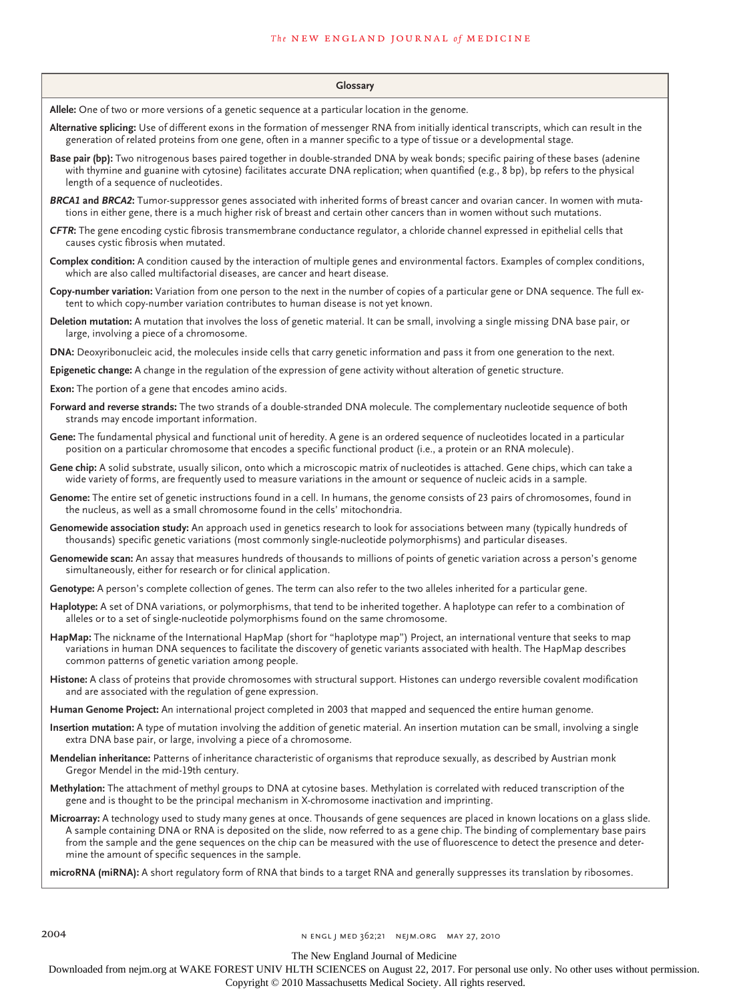| Glossary |
|----------|
|----------|

**Allele:** One of two or more versions of a genetic sequence at a particular location in the genome.

- **Alternative splicing:** Use of different exons in the formation of messenger RNA from initially identical transcripts, which can result in the generation of related proteins from one gene, often in a manner specific to a type of tissue or a developmental stage.
- **Base pair (bp):** Two nitrogenous bases paired together in double-stranded DNA by weak bonds; specific pairing of these bases (adenine with thymine and guanine with cytosine) facilitates accurate DNA replication; when quantified (e.g., 8 bp), bp refers to the physical length of a sequence of nucleotides.
- *BRCA1* **and** *BRCA2***:** Tumor-suppressor genes associated with inherited forms of breast cancer and ovarian cancer. In women with mutations in either gene, there is a much higher risk of breast and certain other cancers than in women without such mutations.
- *CFTR***:** The gene encoding cystic fibrosis transmembrane conductance regulator, a chloride channel expressed in epithelial cells that causes cystic fibrosis when mutated.
- **Complex condition:** A condition caused by the interaction of multiple genes and environmental factors. Examples of complex conditions, which are also called multifactorial diseases, are cancer and heart disease.
- **Copy-number variation:** Variation from one person to the next in the number of copies of a particular gene or DNA sequence. The full extent to which copy-number variation contributes to human disease is not yet known.
- **Deletion mutation:** A mutation that involves the loss of genetic material. It can be small, involving a single missing DNA base pair, or large, involving a piece of a chromosome.
- **DNA:** Deoxyribonucleic acid, the molecules inside cells that carry genetic information and pass it from one generation to the next.
- **Epigenetic change:** A change in the regulation of the expression of gene activity without alteration of genetic structure.
- **Exon:** The portion of a gene that encodes amino acids.
- **Forward and reverse strands:** The two strands of a double-stranded DNA molecule. The complementary nucleotide sequence of both strands may encode important information.
- **Gene:** The fundamental physical and functional unit of heredity. A gene is an ordered sequence of nucleotides located in a particular position on a particular chromosome that encodes a specific functional product (i.e., a protein or an RNA molecule).
- **Gene chip:** A solid substrate, usually silicon, onto which a microscopic matrix of nucleotides is attached. Gene chips, which can take a wide variety of forms, are frequently used to measure variations in the amount or sequence of nucleic acids in a sample.
- **Genome:** The entire set of genetic instructions found in a cell. In humans, the genome consists of 23 pairs of chromosomes, found in the nucleus, as well as a small chromosome found in the cells' mitochondria.
- **Genomewide association study:** An approach used in genetics research to look for associations between many (typically hundreds of thousands) specific genetic variations (most commonly single-nucleotide polymorphisms) and particular diseases.
- **Genomewide scan:** An assay that measures hundreds of thousands to millions of points of genetic variation across a person's genome simultaneously, either for research or for clinical application.
- **Genotype:** A person's complete collection of genes. The term can also refer to the two alleles inherited for a particular gene.
- **Haplotype:** A set of DNA variations, or polymorphisms, that tend to be inherited together. A haplotype can refer to a combination of alleles or to a set of single-nucleotide polymorphisms found on the same chromosome.
- **HapMap:** The nickname of the International HapMap (short for "haplotype map") Project, an international venture that seeks to map variations in human DNA sequences to facilitate the discovery of genetic variants associated with health. The HapMap describes common patterns of genetic variation among people.
- **Histone:** A class of proteins that provide chromosomes with structural support. Histones can undergo reversible covalent modification and are associated with the regulation of gene expression.
- **Human Genome Project:** An international project completed in 2003 that mapped and sequenced the entire human genome.
- **Insertion mutation:** A type of mutation involving the addition of genetic material. An insertion mutation can be small, involving a single extra DNA base pair, or large, involving a piece of a chromosome.
- **Mendelian inheritance:** Patterns of inheritance characteristic of organisms that reproduce sexually, as described by Austrian monk Gregor Mendel in the mid-19th century.
- **Methylation:** The attachment of methyl groups to DNA at cytosine bases. Methylation is correlated with reduced transcription of the gene and is thought to be the principal mechanism in X-chromosome inactivation and imprinting.
- **Microarray:** A technology used to study many genes at once. Thousands of gene sequences are placed in known locations on a glass slide. A sample containing DNA or RNA is deposited on the slide, now referred to as a gene chip. The binding of complementary base pairs from the sample and the gene sequences on the chip can be measured with the use of fluorescence to detect the presence and determine the amount of specific sequences in the sample.

**microRNA (miRNA):** A short regulatory form of RNA that binds to a target RNA and generally suppresses its translation by ribosomes.

The New England Journal of Medicine

Downloaded from nejm.org at WAKE FOREST UNIV HLTH SCIENCES on August 22, 2017. For personal use only. No other uses without permission. Copyright © 2010 Massachusetts Medical Society. All rights reserved.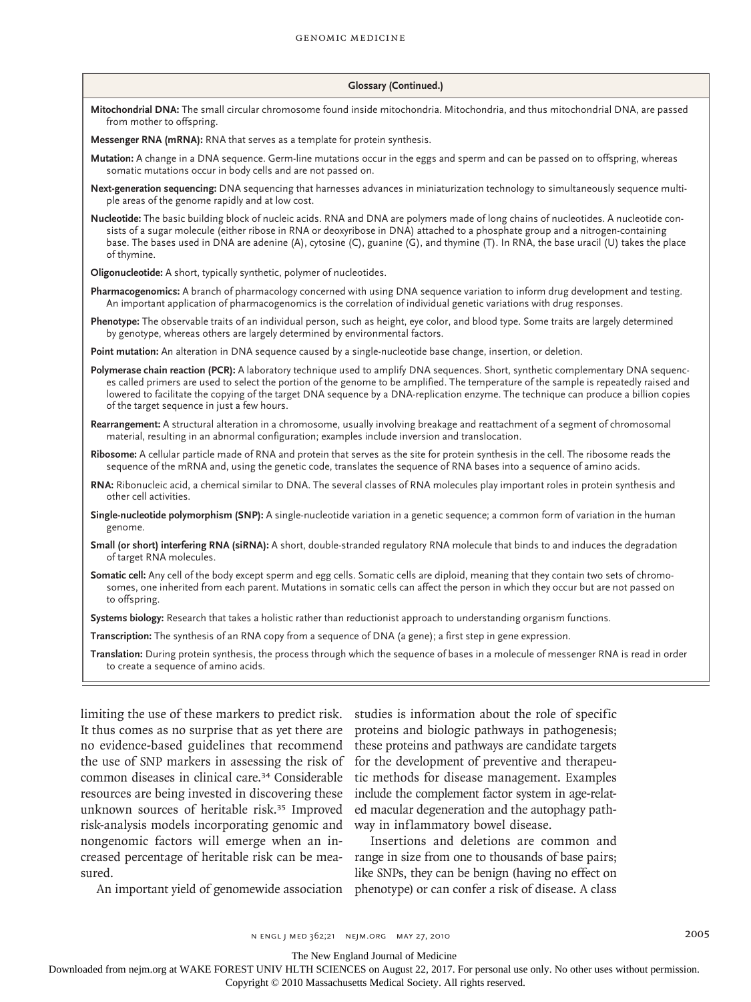|  | Glossary (Continued.) |
|--|-----------------------|
|--|-----------------------|

Mitochondrial DNA: The small circular chromosome found inside mitochondria. Mitochondria, and thus mitochondrial DNA, are passed from mother to offspring.

**Messenger RNA (mRNA):** RNA that serves as a template for protein synthesis.

- **Mutation:** A change in a DNA sequence. Germ-line mutations occur in the eggs and sperm and can be passed on to offspring, whereas somatic mutations occur in body cells and are not passed on.
- **Next-generation sequencing:** DNA sequencing that harnesses advances in miniaturization technology to simultaneously sequence multiple areas of the genome rapidly and at low cost.
- **Nucleotide:** The basic building block of nucleic acids. RNA and DNA are polymers made of long chains of nucleotides. A nucleotide consists of a sugar molecule (either ribose in RNA or deoxyribose in DNA) attached to a phosphate group and a nitrogen-containing base. The bases used in DNA are adenine (A), cytosine (C), guanine (G), and thymine (T). In RNA, the base uracil (U) takes the place of thymine.

**Oligonucleotide:** A short, typically synthetic, polymer of nucleotides.

- **Pharmacogenomics:** A branch of pharmacology concerned with using DNA sequence variation to inform drug development and testing. An important application of pharmacogenomics is the correlation of individual genetic variations with drug responses.
- **Phenotype:** The observable traits of an individual person, such as height, eye color, and blood type. Some traits are largely determined by genotype, whereas others are largely determined by environmental factors.

**Point mutation:** An alteration in DNA sequence caused by a single-nucleotide base change, insertion, or deletion.

- **Polymerase chain reaction (PCR):** A laboratory technique used to amplify DNA sequences. Short, synthetic complementary DNA sequences called primers are used to select the portion of the genome to be amplified. The temperature of the sample is repeatedly raised and lowered to facilitate the copying of the target DNA sequence by a DNA-replication enzyme. The technique can produce a billion copies of the target sequence in just a few hours.
- **Rearrangement:** A structural alteration in a chromosome, usually involving breakage and reattachment of a segment of chromosomal material, resulting in an abnormal configuration; examples include inversion and translocation.
- **Ribosome:** A cellular particle made of RNA and protein that serves as the site for protein synthesis in the cell. The ribosome reads the sequence of the mRNA and, using the genetic code, translates the sequence of RNA bases into a sequence of amino acids.
- **RNA:** Ribonucleic acid, a chemical similar to DNA. The several classes of RNA molecules play important roles in protein synthesis and other cell activities.
- **Single-nucleotide polymorphism (SNP):** A single-nucleotide variation in a genetic sequence; a common form of variation in the human genome.
- **Small (or short) interfering RNA (siRNA):** A short, double-stranded regulatory RNA molecule that binds to and induces the degradation of target RNA molecules.
- **Somatic cell:** Any cell of the body except sperm and egg cells. Somatic cells are diploid, meaning that they contain two sets of chromosomes, one inherited from each parent. Mutations in somatic cells can affect the person in which they occur but are not passed on to offspring.

**Systems biology:** Research that takes a holistic rather than reductionist approach to understanding organism functions.

**Transcription:** The synthesis of an RNA copy from a sequence of DNA (a gene); a first step in gene expression.

**Translation:** During protein synthesis, the process through which the sequence of bases in a molecule of messenger RNA is read in order to create a sequence of amino acids.

limiting the use of these markers to predict risk. It thus comes as no surprise that as yet there are no evidence-based guidelines that recommend the use of SNP markers in assessing the risk of common diseases in clinical care.34 Considerable resources are being invested in discovering these unknown sources of heritable risk.<sup>35</sup> Improved risk-analysis models incorporating genomic and nongenomic factors will emerge when an increased percentage of heritable risk can be measured.

studies is information about the role of specific proteins and biologic pathways in pathogenesis; these proteins and pathways are candidate targets for the development of preventive and therapeutic methods for disease management. Examples include the complement factor system in age-related macular degeneration and the autophagy pathway in inflammatory bowel disease.

Insertions and deletions are common and range in size from one to thousands of base pairs; like SNPs, they can be benign (having no effect on phenotype) or can confer a risk of disease. A class

An important yield of genomewide association

n engl j med 362;21 nejm.org may 27, 2010 2005

The New England Journal of Medicine

Downloaded from nejm.org at WAKE FOREST UNIV HLTH SCIENCES on August 22, 2017. For personal use only. No other uses without permission.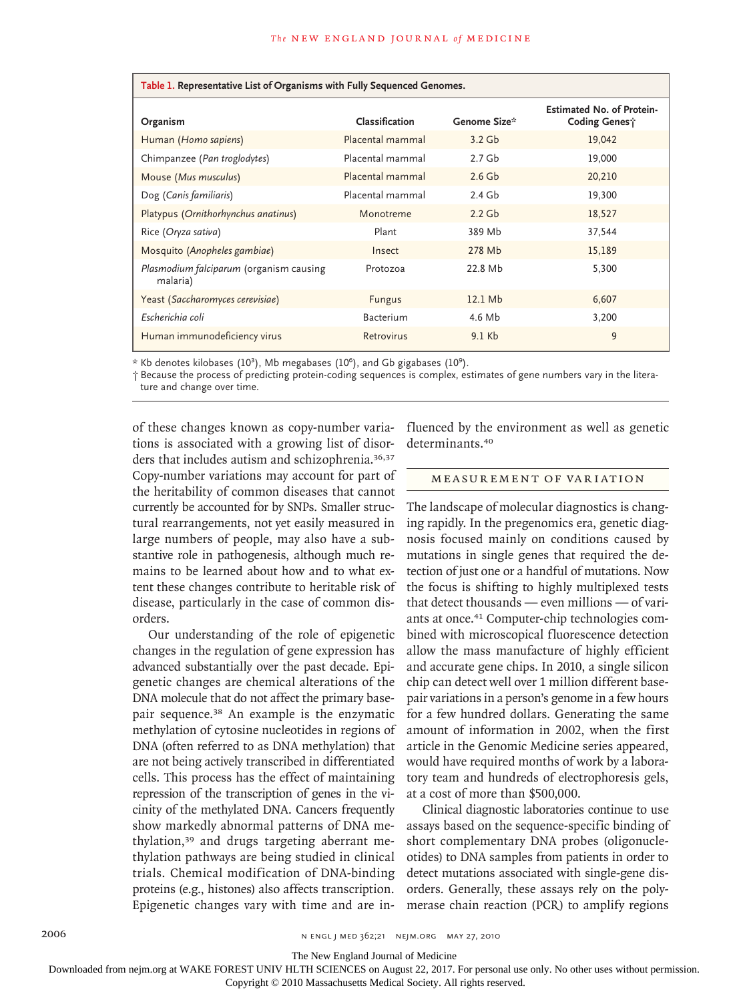| Table 1. Representative List of Organisms with Fully Sequenced Genomes. |                   |                   |                                                   |  |
|-------------------------------------------------------------------------|-------------------|-------------------|---------------------------------------------------|--|
| Organism                                                                | Classification    | Genome Size*      | <b>Estimated No. of Protein-</b><br>Coding Genes; |  |
| Human (Homo sapiens)                                                    | Placental mammal  | $3.2$ Gb          | 19,042                                            |  |
| Chimpanzee (Pan troglodytes)                                            | Placental mammal  | 2.7 <sub>Gb</sub> | 19,000                                            |  |
| Mouse (Mus musculus)                                                    | Placental mammal  | $2.6$ Gb          | 20,210                                            |  |
| Dog (Canis familiaris)                                                  | Placental mammal  | $2.4\,$ Gb        | 19,300                                            |  |
| Platypus (Ornithorhynchus anatinus)                                     | Monotreme         | 2.2 <sub>cb</sub> | 18,527                                            |  |
| Rice (Oryza sativa)                                                     | Plant             | 389 Mb            | 37,544                                            |  |
| Mosquito (Anopheles gambiae)                                            | Insect            | 278 Mb            | 15,189                                            |  |
| Plasmodium falciparum (organism causing<br>malaria)                     | Protozoa          | 22.8 Mb           | 5,300                                             |  |
| Yeast (Saccharomyces cerevisiae)                                        | <b>Fungus</b>     | $12.1$ Mb         | 6,607                                             |  |
| Escherichia coli                                                        | Bacterium         | 4.6 Mb            | 3,200                                             |  |
| Human immunodeficiency virus                                            | <b>Retrovirus</b> | $9.1$ Kb          | 9                                                 |  |

 $*$  Kb denotes kilobases (10<sup>3</sup>), Mb megabases (10<sup>6</sup>), and Gb gigabases (10<sup>9</sup>).

† Because the process of predicting protein-coding sequences is complex, estimates of gene numbers vary in the literature and change over time.

of these changes known as copy-number variations is associated with a growing list of disorders that includes autism and schizophrenia.<sup>36,37</sup> Copy-number variations may account for part of the heritability of common diseases that cannot currently be accounted for by SNPs. Smaller structural rearrangements, not yet easily measured in large numbers of people, may also have a substantive role in pathogenesis, although much remains to be learned about how and to what extent these changes contribute to heritable risk of disease, particularly in the case of common disorders.

Our understanding of the role of epigenetic changes in the regulation of gene expression has advanced substantially over the past decade. Epigenetic changes are chemical alterations of the DNA molecule that do not affect the primary basepair sequence.38 An example is the enzymatic methylation of cytosine nucleotides in regions of DNA (often referred to as DNA methylation) that are not being actively transcribed in differentiated cells. This process has the effect of maintaining repression of the transcription of genes in the vicinity of the methylated DNA. Cancers frequently show markedly abnormal patterns of DNA methylation,39 and drugs targeting aberrant methylation pathways are being studied in clinical trials. Chemical modification of DNA-binding proteins (e.g., histones) also affects transcription. Epigenetic changes vary with time and are influenced by the environment as well as genetic determinants.<sup>40</sup>

## Measurement of Variation

The landscape of molecular diagnostics is changing rapidly. In the pregenomics era, genetic diagnosis focused mainly on conditions caused by mutations in single genes that required the detection of just one or a handful of mutations. Now the focus is shifting to highly multiplexed tests that detect thousands — even millions — of variants at once.<sup>41</sup> Computer-chip technologies combined with microscopical fluorescence detection allow the mass manufacture of highly efficient and accurate gene chips. In 2010, a single silicon chip can detect well over 1 million different basepair variations in a person's genome in a few hours for a few hundred dollars. Generating the same amount of information in 2002, when the first article in the Genomic Medicine series appeared, would have required months of work by a laboratory team and hundreds of electrophoresis gels, at a cost of more than \$500,000.

Clinical diagnostic laboratories continue to use assays based on the sequence-specific binding of short complementary DNA probes (oligonucleotides) to DNA samples from patients in order to detect mutations associated with single-gene disorders. Generally, these assays rely on the polymerase chain reaction (PCR) to amplify regions

The New England Journal of Medicine

Downloaded from nejm.org at WAKE FOREST UNIV HLTH SCIENCES on August 22, 2017. For personal use only. No other uses without permission.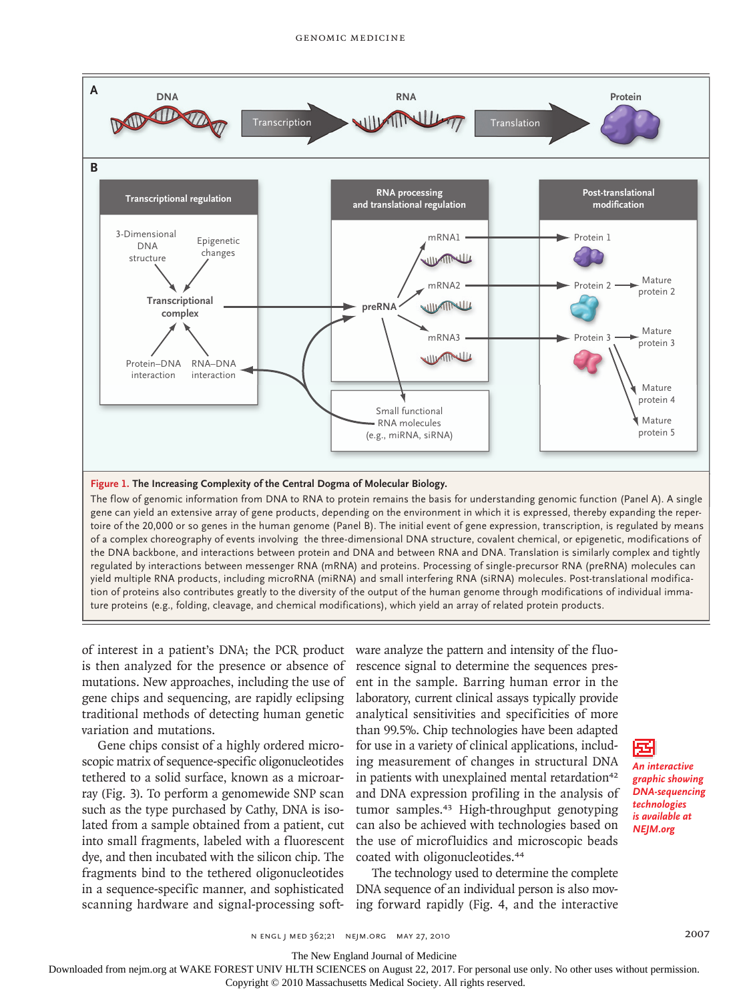

#### **Figure 1. The Increasing Complexity of the Central Dogma of Molecular Biology.**

The flow of genomic information from DNA to RNA to protein remains the basis for understanding genomic function (Panel A). A single gene can yield an extensive array of gene products, depending on the environment in which it is expressed, thereby expanding the repertoire of the 20,000 or so genes in the human genome (Panel B). The initial event of gene expression, transcription, is regulated by means of a complex choreography of events involving the three-dimensional DNA structure, covalent chemical, or epigenetic, modifications of the DNA backbone, and interactions between protein and DNA and between RNA and DNA. Translation is similarly complex and tightly regulated by interactions between messenger RNA (mRNA) and proteins. Processing of single-precursor RNA (preRNA) molecules can yield multiple RNA products, including microRNA (miRNA) and small interfering RNA (siRNA) molecules. Post-translational modification of proteins also contributes greatly to the diversity of the output of the human genome through modifications of individual immature proteins (e.g., folding, cleavage, and chemical modifications), which yield an array of related protein products.

of interest in a patient's DNA; the PCR product ware analyze the pattern and intensity of the fluois then analyzed for the presence or absence of mutations. New approaches, including the use of gene chips and sequencing, are rapidly eclipsing traditional methods of detecting human genetic variation and mutations.

Gene chips consist of a highly ordered microscopic matrix of sequence-specific oligonucleotides tethered to a solid surface, known as a microarray (Fig. 3). To perform a genomewide SNP scan such as the type purchased by Cathy, DNA is isolated from a sample obtained from a patient, cut into small fragments, labeled with a fluorescent dye, and then incubated with the silicon chip. The fragments bind to the tethered oligonucleotides in a sequence-specific manner, and sophisticated scanning hardware and signal-processing soft-

rescence signal to determine the sequences present in the sample. Barring human error in the laboratory, current clinical assays typically provide analytical sensitivities and specificities of more than 99.5%. Chip technologies have been adapted for use in a variety of clinical applications, including measurement of changes in structural DNA in patients with unexplained mental retardation<sup>42</sup> and DNA expression profiling in the analysis of tumor samples.<sup>43</sup> High-throughput genotyping can also be achieved with technologies based on the use of microfluidics and microscopic beads coated with oligonucleotides.<sup>44</sup>





*An interactive graphic showing DNA-sequencing technologies is available at NEJM.org*

n engl j med 362;21 nejm.org may 27, 2010 2007

The New England Journal of Medicine

Downloaded from nejm.org at WAKE FOREST UNIV HLTH SCIENCES on August 22, 2017. For personal use only. No other uses without permission.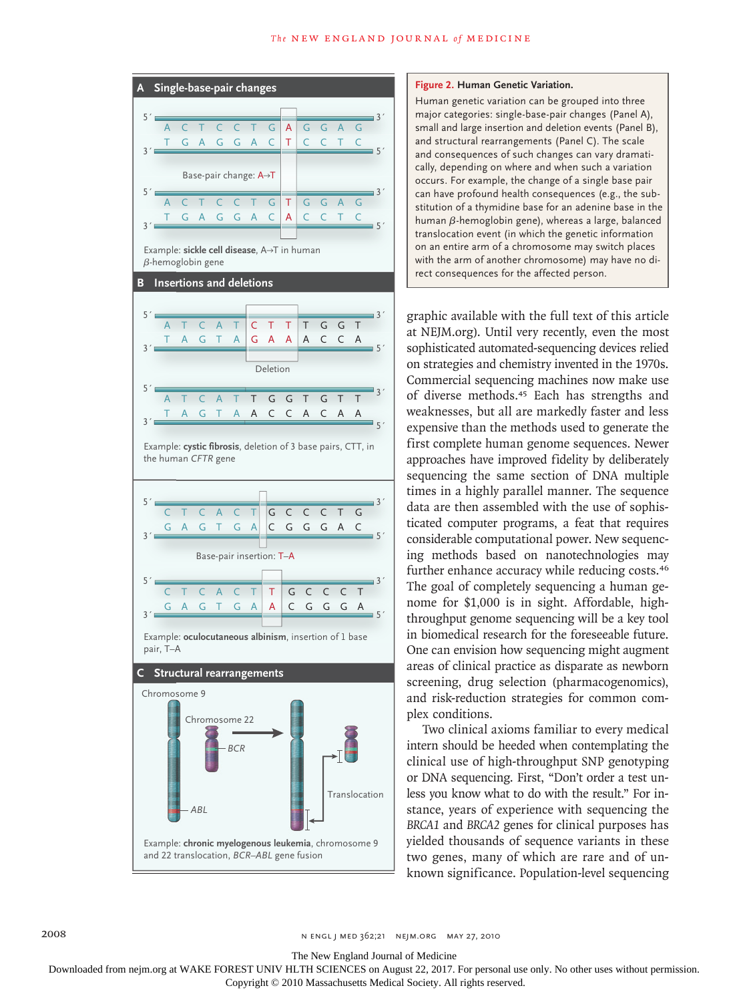



Example: **oculocutaneous albinism**, insertion of 1 base pair, T–A

## **C Structural rearrangements**



#### **Figure 2. Human Genetic Variation.**

Human genetic variation can be grouped into three major categories: single-base-pair changes (Panel A), small and large insertion and deletion events (Panel B), and structural rearrangements (Panel C). The scale and consequences of such changes can vary dramatically, depending on where and when such a variation occurs. For example, the change of a single base pair can have profound health consequences (e.g., the substitution of a thymidine base for an adenine base in the human β-hemoglobin gene), whereas a large, balanced translocation event (in which the genetic information on an entire arm of a chromosome may switch places with the arm of another chromosome) may have no direct consequences for the affected person.

graphic available with the full text of this article at NEJM.org). Until very recently, even the most sophisticated automated-sequencing devices relied on strategies and chemistry invented in the 1970s. Commercial sequencing machines now make use of diverse methods.45 Each has strengths and weaknesses, but all are markedly faster and less expensive than the methods used to generate the first complete human genome sequences. Newer approaches have improved fidelity by deliberately sequencing the same section of DNA multiple times in a highly parallel manner. The sequence data are then assembled with the use of sophisticated computer programs, a feat that requires considerable computational power. New sequencing methods based on nanotechnologies may further enhance accuracy while reducing costs.<sup>46</sup> The goal of completely sequencing a human genome for \$1,000 is in sight. Affordable, highthroughput genome sequencing will be a key tool in biomedical research for the foreseeable future. One can envision how sequencing might augment areas of clinical practice as disparate as newborn screening, drug selection (pharmacogenomics), and risk-reduction strategies for common complex conditions.

Two clinical axioms familiar to every medical intern should be heeded when contemplating the clinical use of high-throughput SNP genotyping or DNA sequencing. First, "Don't order a test unless you know what to do with the result." For instance, years of experience with sequencing the *BRCA1* and *BRCA2* genes for clinical purposes has yielded thousands of sequence variants in these two genes, many of which are rare and of unknown significance. Population-level sequencing

The New England Journal of Medicine

Downloaded from nejm.org at WAKE FOREST UNIV HLTH SCIENCES on August 22, 2017. For personal use only. No other uses without permission.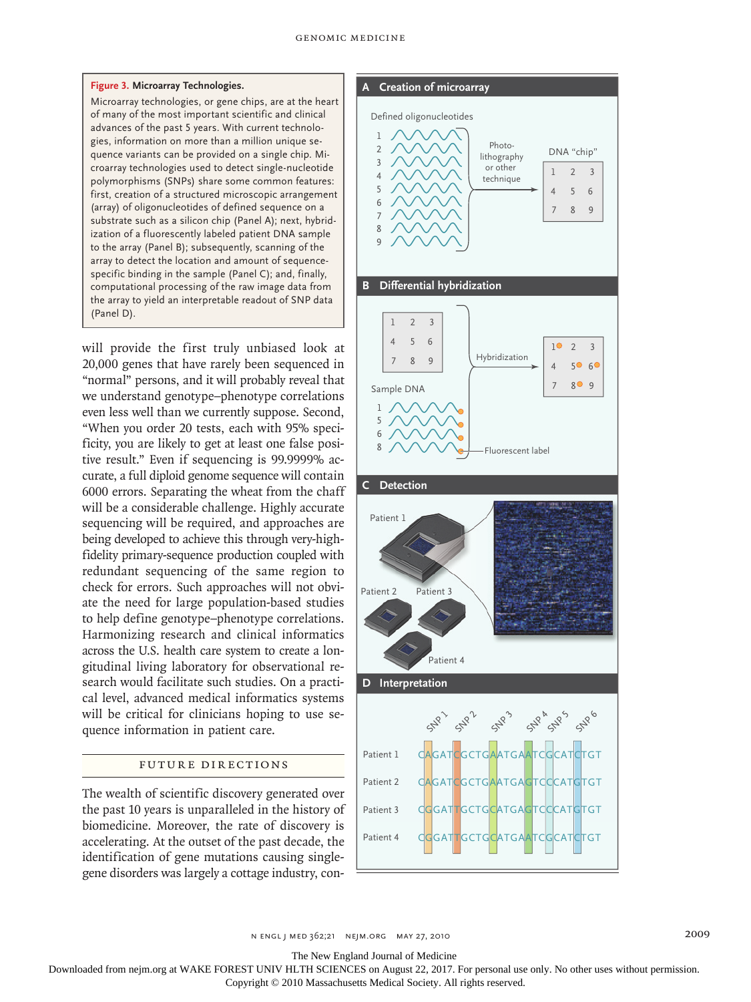#### **Figure 3. Microarray Technologies.**

Microarray technologies, or gene chips, are at the heart of many of the most important scientific and clinical advances of the past 5 years. With current technologies, information on more than a million unique sequence variants can be provided on a single chip. Microarray technologies used to detect single-nucleotide polymorphisms (SNPs) share some common features: first, creation of a structured microscopic arrangement (array) of oligonucleotides of defined sequence on a substrate such as a silicon chip (Panel A); next, hybridization of a fluorescently labeled patient DNA sample to the array (Panel B); subsequently, scanning of the array to detect the location and amount of sequencespecific binding in the sample (Panel C); and, finally, computational processing of the raw image data from the array to yield an interpretable readout of SNP data (Panel D).

will provide the first truly unbiased look at 20,000 genes that have rarely been sequenced in "normal" persons, and it will probably reveal that we understand genotype–phenotype correlations even less well than we currently suppose. Second, "When you order 20 tests, each with 95% specificity, you are likely to get at least one false positive result." Even if sequencing is 99.9999% accurate, a full diploid genome sequence will contain 6000 errors. Separating the wheat from the chaff will be a considerable challenge. Highly accurate sequencing will be required, and approaches are being developed to achieve this through very-highfidelity primary-sequence production coupled with redundant sequencing of the same region to check for errors. Such approaches will not obviate the need for large population-based studies to help define genotype–phenotype correlations. Harmonizing research and clinical informatics across the U.S. health care system to create a longitudinal living laboratory for observational research would facilitate such studies. On a practical level, advanced medical informatics systems will be critical for clinicians hoping to use sequence information in patient care.

# Future Directions

The wealth of scientific discovery generated over the past 10 years is unparalleled in the history of biomedicine. Moreover, the rate of discovery is accelerating. At the outset of the past decade, the identification of gene mutations causing singlegene disorders was largely a cottage industry, con-



n engl j med 362;21 nejm.org may 27, 2010 2009

The New England Journal of Medicine

Downloaded from nejm.org at WAKE FOREST UNIV HLTH SCIENCES on August 22, 2017. For personal use only. No other uses without permission.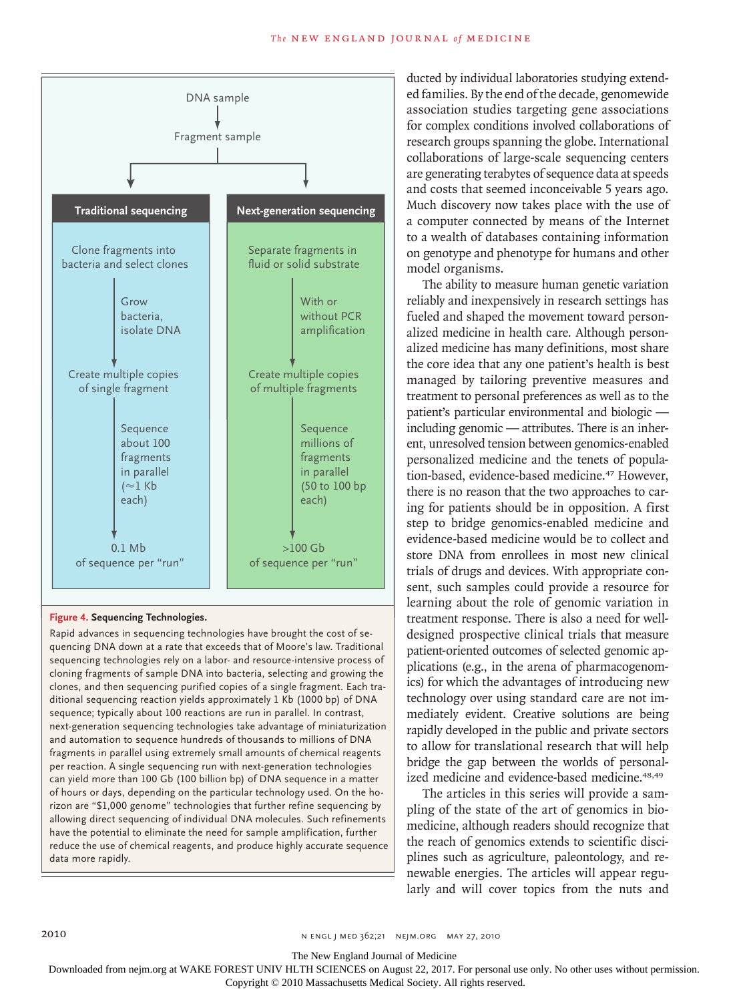#### **The NEW ENGLAND JOURNAL of MEDICINE**



### **Figure 4. Sequencing Technologies.**

 $\frac{1}{10}$ ditional sequencing reaction yields approximately 1 Kb (1000 bp) of DNA<br>sequence: typically about 100 reactions are run in parallel. In contrast next-generation sequencing technologies take advantage of miniaturization and automation to sequence hundreds of thousands to millions of DNA fragments in parallel using extremely small amounts of chemical reagents per reaction. A single sequencing run with next-generation technologies allowing direct sequencing of individual DNA molecules. Such refinements Rapid advances in sequencing technologies have brought the cost of sequencing DNA down at a rate that exceeds that of Moore's law. Traditional sequencing technologies rely on a labor- and resource-intensive process of cloning fragments of sample DNA into bacteria, selecting and growing the clones, and then sequencing purified copies of a single fragment. Each trasequence; typically about 100 reactions are run in parallel. In contrast, can yield more than 100 Gb (100 billion bp) of DNA sequence in a matter of hours or days, depending on the particular technology used. On the horizon are "\$1,000 genome" technologies that further refine sequencing by have the potential to eliminate the need for sample amplification, further reduce the use of chemical reagents, and produce highly accurate sequence data more rapidly.

ducted by individual laboratories studying extended families. By the end of the decade, genomewide association studies targeting gene associations for complex conditions involved collaborations of research groups spanning the globe. International collaborations of large-scale sequencing centers are generating terabytes of sequence data at speeds and costs that seemed inconceivable 5 years ago. Much discovery now takes place with the use of a computer connected by means of the Internet to a wealth of databases containing information on genotype and phenotype for humans and other model organisms.

The ability to measure human genetic variation reliably and inexpensively in research settings has fueled and shaped the movement toward personalized medicine in health care. Although personalized medicine has many definitions, most share the core idea that any one patient's health is best managed by tailoring preventive measures and treatment to personal preferences as well as to the patient's particular environmental and biologic including genomic — attributes. There is an inherent, unresolved tension between genomics-enabled personalized medicine and the tenets of population-based, evidence-based medicine.<sup>47</sup> However, there is no reason that the two approaches to caring for patients should be in opposition. A first step to bridge genomics-enabled medicine and evidence-based medicine would be to collect and store DNA from enrollees in most new clinical trials of drugs and devices. With appropriate consent, such samples could provide a resource for learning about the role of genomic variation in treatment response. There is also a need for welldesigned prospective clinical trials that measure patient-oriented outcomes of selected genomic applications (e.g., in the arena of pharmacogenomics) for which the advantages of introducing new technology over using standard care are not immediately evident. Creative solutions are being rapidly developed in the public and private sectors to allow for translational research that will help bridge the gap between the worlds of personalized medicine and evidence-based medicine.<sup>48,49</sup>

<sup>o-</sup> The articles in this series will provide a sampling of the state of the art of genomics in biomedicine, although readers should recognize that the reach of genomics extends to scientific disciplines such as agriculture, paleontology, and renewable energies. The articles will appear regularly and will cover topics from the nuts and

The New England Journal of Medicine

Downloaded from nejm.org at WAKE FOREST UNIV HLTH SCIENCES on August 22, 2017. For personal use only. No other uses without permission.